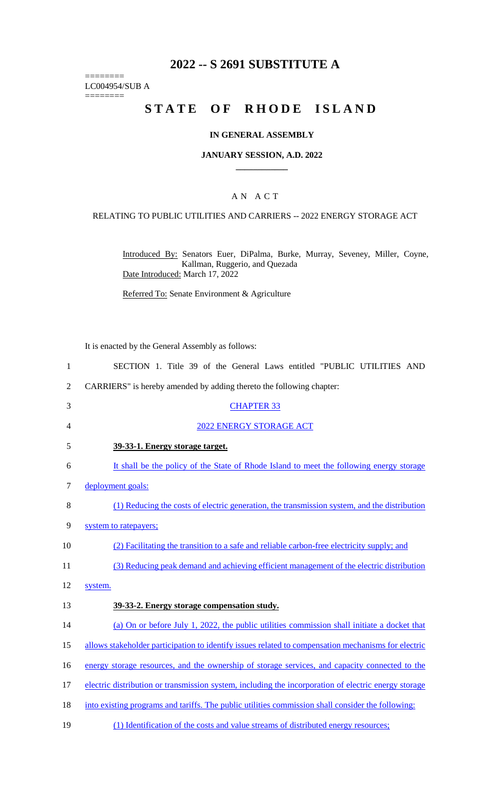# **2022 -- S 2691 SUBSTITUTE A**

LC004954/SUB A ========

========

# **STATE OF RHODE ISLAND**

## **IN GENERAL ASSEMBLY**

#### **JANUARY SESSION, A.D. 2022 \_\_\_\_\_\_\_\_\_\_\_\_**

## A N A C T

## RELATING TO PUBLIC UTILITIES AND CARRIERS -- 2022 ENERGY STORAGE ACT

Introduced By: Senators Euer, DiPalma, Burke, Murray, Seveney, Miller, Coyne, Kallman, Ruggerio, and Quezada Date Introduced: March 17, 2022

Referred To: Senate Environment & Agriculture

It is enacted by the General Assembly as follows:

| $\mathbf{1}$     | SECTION 1. Title 39 of the General Laws entitled "PUBLIC UTILITIES AND                               |
|------------------|------------------------------------------------------------------------------------------------------|
| $\overline{2}$   | CARRIERS" is hereby amended by adding thereto the following chapter:                                 |
| 3                | <b>CHAPTER 33</b>                                                                                    |
| 4                | 2022 ENERGY STORAGE ACT                                                                              |
| 5                | 39-33-1. Energy storage target.                                                                      |
| 6                | It shall be the policy of the State of Rhode Island to meet the following energy storage             |
| $\boldsymbol{7}$ | deployment goals:                                                                                    |
| 8                | (1) Reducing the costs of electric generation, the transmission system, and the distribution         |
| 9                | system to ratepayers;                                                                                |
| 10               | (2) Facilitating the transition to a safe and reliable carbon-free electricity supply; and           |
| 11               | (3) Reducing peak demand and achieving efficient management of the electric distribution             |
| 12               | system.                                                                                              |
| 13               | 39-33-2. Energy storage compensation study.                                                          |
| 14               | (a) On or before July 1, 2022, the public utilities commission shall initiate a docket that          |
| 15               | allows stakeholder participation to identify issues related to compensation mechanisms for electric  |
| 16               | energy storage resources, and the ownership of storage services, and capacity connected to the       |
| 17               | electric distribution or transmission system, including the incorporation of electric energy storage |
| 18               | into existing programs and tariffs. The public utilities commission shall consider the following:    |
| 19               | (1) Identification of the costs and value streams of distributed energy resources;                   |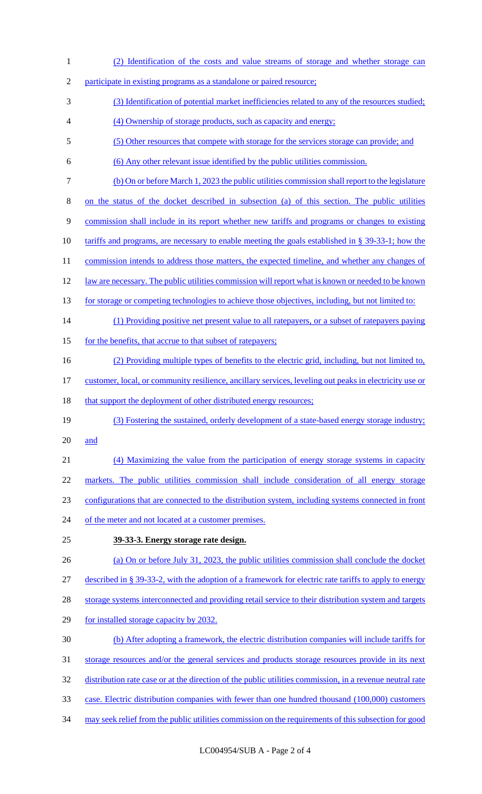(2) Identification of the costs and value streams of storage and whether storage can participate in existing programs as a standalone or paired resource; (3) Identification of potential market inefficiencies related to any of the resources studied; (4) Ownership of storage products, such as capacity and energy; (5) Other resources that compete with storage for the services storage can provide; and (6) Any other relevant issue identified by the public utilities commission. (b) On or before March 1, 2023 the public utilities commission shall report to the legislature on the status of the docket described in subsection (a) of this section. The public utilities commission shall include in its report whether new tariffs and programs or changes to existing tariffs and programs, are necessary to enable meeting the goals established in § 39-33-1; how the 11 commission intends to address those matters, the expected timeline, and whether any changes of law are necessary. The public utilities commission will report what is known or needed to be known 13 for storage or competing technologies to achieve those objectives, including, but not limited to: (1) Providing positive net present value to all ratepayers, or a subset of ratepayers paying 15 for the benefits, that accrue to that subset of ratepayers; (2) Providing multiple types of benefits to the electric grid, including, but not limited to, customer, local, or community resilience, ancillary services, leveling out peaks in electricity use or 18 that support the deployment of other distributed energy resources; (3) Fostering the sustained, orderly development of a state-based energy storage industry; and (4) Maximizing the value from the participation of energy storage systems in capacity markets. The public utilities commission shall include consideration of all energy storage configurations that are connected to the distribution system, including systems connected in front 24 of the meter and not located at a customer premises. **39-33-3. Energy storage rate design.**  (a) On or before July 31, 2023, the public utilities commission shall conclude the docket described in § 39-33-2, with the adoption of a framework for electric rate tariffs to apply to energy 28 storage systems interconnected and providing retail service to their distribution system and targets for installed storage capacity by 2032. (b) After adopting a framework, the electric distribution companies will include tariffs for storage resources and/or the general services and products storage resources provide in its next distribution rate case or at the direction of the public utilities commission, in a revenue neutral rate case. Electric distribution companies with fewer than one hundred thousand (100,000) customers may seek relief from the public utilities commission on the requirements of this subsection for good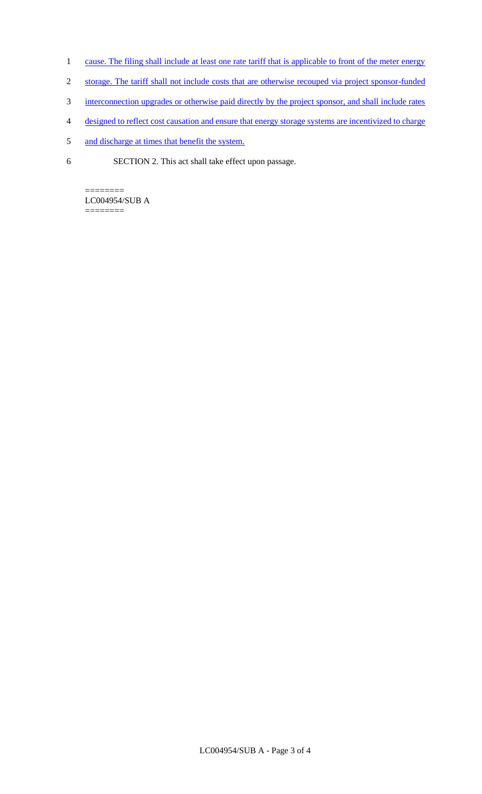- 1 cause. The filing shall include at least one rate tariff that is applicable to front of the meter energy
- 2 storage. The tariff shall not include costs that are otherwise recouped via project sponsor-funded
- 3 interconnection upgrades or otherwise paid directly by the project sponsor, and shall include rates
- 4 designed to reflect cost causation and ensure that energy storage systems are incentivized to charge
- 5 and discharge at times that benefit the system.
- 6 SECTION 2. This act shall take effect upon passage.

======== LC004954/SUB A

========